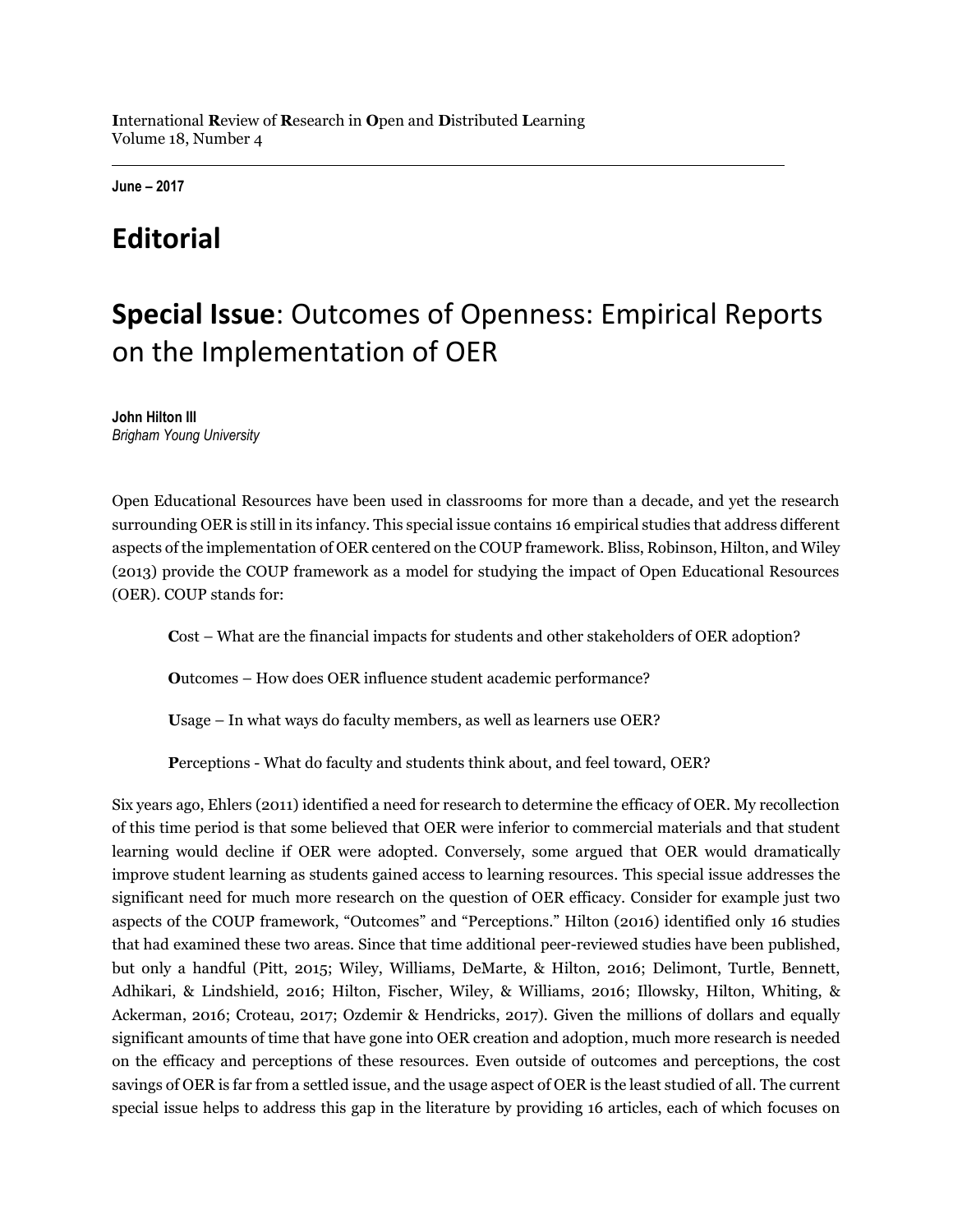**June – 2017**

# **Editorial**

# **Special Issue**: Outcomes of Openness: Empirical Reports on the Implementation of OER

**John Hilton III** *Brigham Young University*

Open Educational Resources have been used in classrooms for more than a decade, and yet the research surrounding OER is still in its infancy. This special issue contains 16 empirical studies that address different aspects of the implementation of OER centered on the COUP framework. Bliss, Robinson, Hilton, and Wiley (2013) provide the COUP framework as a model for studying the impact of Open Educational Resources (OER). COUP stands for:

**C**ost – What are the financial impacts for students and other stakeholders of OER adoption?

**O**utcomes – How does OER influence student academic performance?

**U**sage – In what ways do faculty members, as well as learners use OER?

**P**erceptions - What do faculty and students think about, and feel toward, OER?

Six years ago, Ehlers (2011) identified a need for research to determine the efficacy of OER. My recollection of this time period is that some believed that OER were inferior to commercial materials and that student learning would decline if OER were adopted. Conversely, some argued that OER would dramatically improve student learning as students gained access to learning resources. This special issue addresses the significant need for much more research on the question of OER efficacy. Consider for example just two aspects of the COUP framework, "Outcomes" and "Perceptions." Hilton (2016) identified only 16 studies that had examined these two areas. Since that time additional peer-reviewed studies have been published, but only a handful (Pitt, 2015; Wiley, Williams, DeMarte, & Hilton, 2016; Delimont, Turtle, Bennett, Adhikari, & Lindshield, 2016; Hilton, Fischer, Wiley, & Williams, 2016; Illowsky, Hilton, Whiting, & Ackerman, 2016; Croteau, 2017; Ozdemir & Hendricks, 2017). Given the millions of dollars and equally significant amounts of time that have gone into OER creation and adoption, much more research is needed on the efficacy and perceptions of these resources. Even outside of outcomes and perceptions, the cost savings of OER is far from a settled issue, and the usage aspect of OER is the least studied of all. The current special issue helps to address this gap in the literature by providing 16 articles, each of which focuses on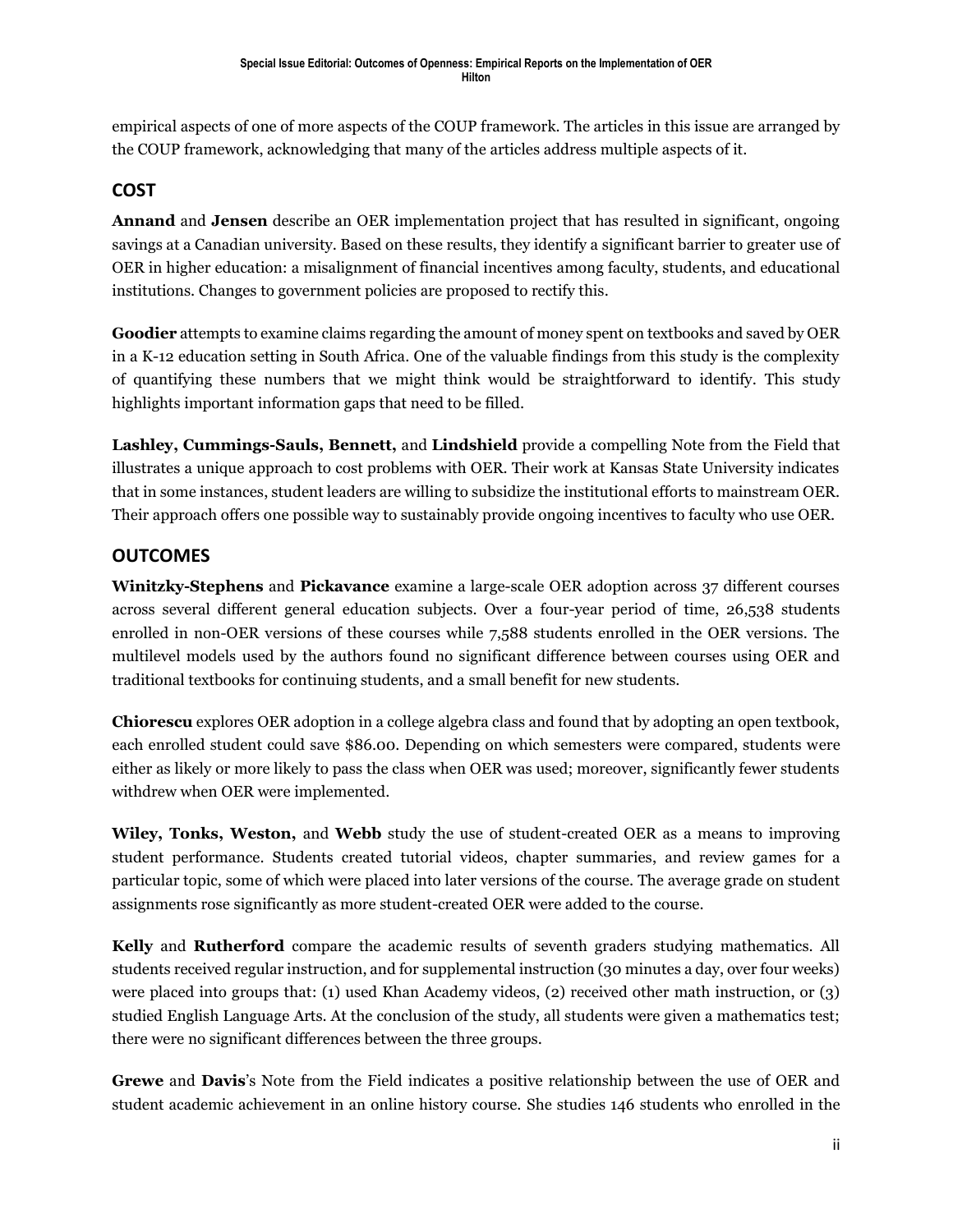empirical aspects of one of more aspects of the COUP framework. The articles in this issue are arranged by the COUP framework, acknowledging that many of the articles address multiple aspects of it.

#### **COST**

**Annand** and **Jensen** describe an OER implementation project that has resulted in significant, ongoing savings at a Canadian university. Based on these results, they identify a significant barrier to greater use of OER in higher education: a misalignment of financial incentives among faculty, students, and educational institutions. Changes to government policies are proposed to rectify this.

**Goodier** attempts to examine claims regarding the amount of money spent on textbooks and saved by OER in a K-12 education setting in South Africa. One of the valuable findings from this study is the complexity of quantifying these numbers that we might think would be straightforward to identify. This study highlights important information gaps that need to be filled.

**Lashley, Cummings-Sauls, Bennett,** and **Lindshield** provide a compelling Note from the Field that illustrates a unique approach to cost problems with OER. Their work at Kansas State University indicates that in some instances, student leaders are willing to subsidize the institutional efforts to mainstream OER. Their approach offers one possible way to sustainably provide ongoing incentives to faculty who use OER.

#### **OUTCOMES**

**Winitzky-Stephens** and **Pickavance** examine a large-scale OER adoption across 37 different courses across several different general education subjects. Over a four-year period of time, 26,538 students enrolled in non-OER versions of these courses while 7,588 students enrolled in the OER versions. The multilevel models used by the authors found no significant difference between courses using OER and traditional textbooks for continuing students, and a small benefit for new students.

**Chiorescu** explores OER adoption in a college algebra class and found that by adopting an open textbook, each enrolled student could save \$86.00. Depending on which semesters were compared, students were either as likely or more likely to pass the class when OER was used; moreover, significantly fewer students withdrew when OER were implemented.

**Wiley, Tonks, Weston,** and **Webb** study the use of student-created OER as a means to improving student performance. Students created tutorial videos, chapter summaries, and review games for a particular topic, some of which were placed into later versions of the course. The average grade on student assignments rose significantly as more student-created OER were added to the course.

**Kelly** and **Rutherford** compare the academic results of seventh graders studying mathematics. All students received regular instruction, and for supplemental instruction (30 minutes a day, over four weeks) were placed into groups that: (1) used Khan Academy videos, (2) received other math instruction, or (3) studied English Language Arts. At the conclusion of the study, all students were given a mathematics test; there were no significant differences between the three groups.

**Grewe** and **Davis**'s Note from the Field indicates a positive relationship between the use of OER and student academic achievement in an online history course. She studies 146 students who enrolled in the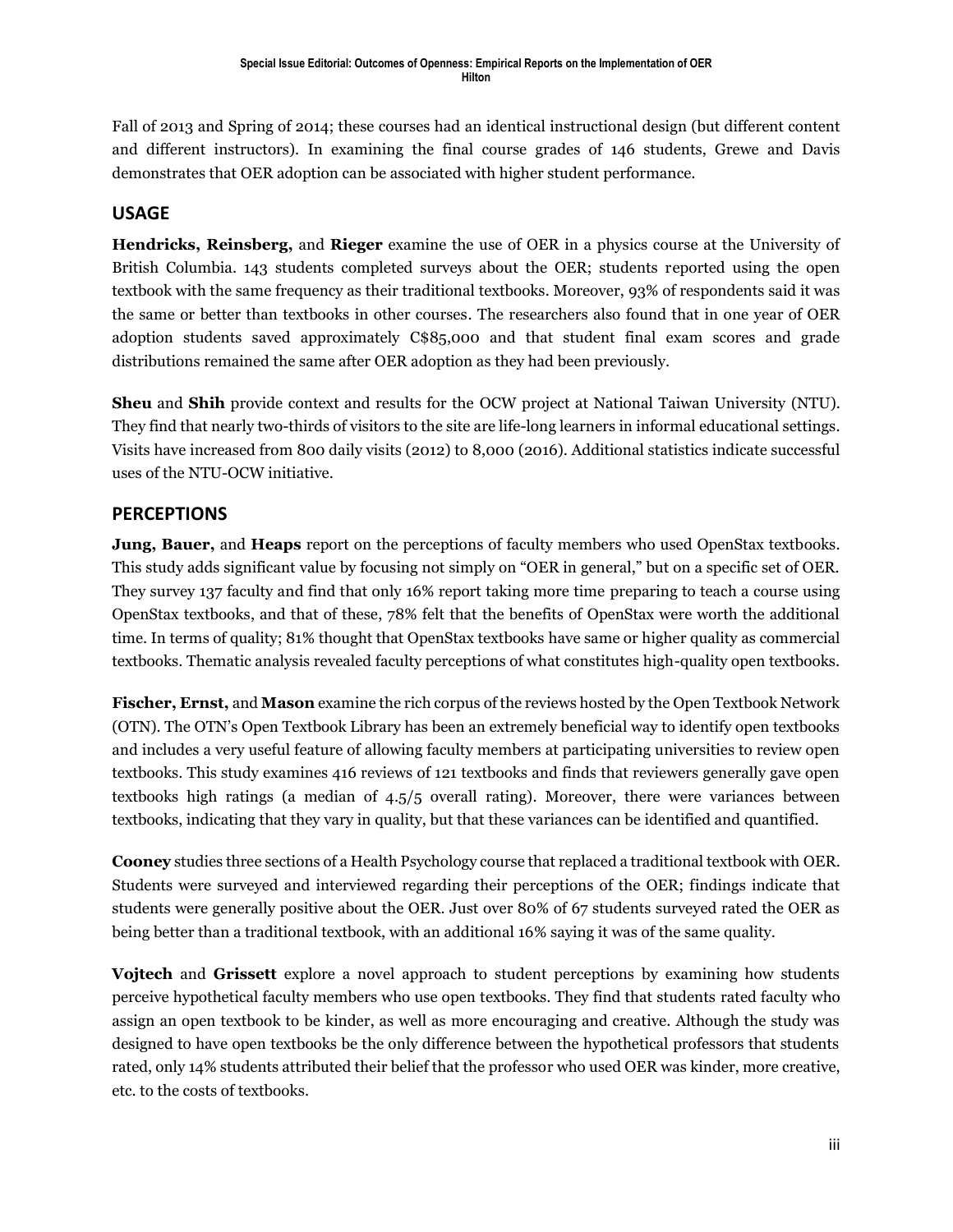Fall of 2013 and Spring of 2014; these courses had an identical instructional design (but different content and different instructors). In examining the final course grades of 146 students, Grewe and Davis demonstrates that OER adoption can be associated with higher student performance.

#### **USAGE**

**Hendricks, Reinsberg,** and **Rieger** examine the use of OER in a physics course at the University of British Columbia. 143 students completed surveys about the OER; students reported using the open textbook with the same frequency as their traditional textbooks. Moreover, 93% of respondents said it was the same or better than textbooks in other courses. The researchers also found that in one year of OER adoption students saved approximately C\$85,000 and that student final exam scores and grade distributions remained the same after OER adoption as they had been previously.

**Sheu** and **Shih** provide context and results for the OCW project at National Taiwan University (NTU). They find that nearly two-thirds of visitors to the site are life-long learners in informal educational settings. Visits have increased from 800 daily visits (2012) to 8,000 (2016). Additional statistics indicate successful uses of the NTU-OCW initiative.

#### **PERCEPTIONS**

**Jung, Bauer,** and **Heaps** report on the perceptions of faculty members who used OpenStax textbooks. This study adds significant value by focusing not simply on "OER in general," but on a specific set of OER. They survey 137 faculty and find that only 16% report taking more time preparing to teach a course using OpenStax textbooks, and that of these, 78% felt that the benefits of OpenStax were worth the additional time. In terms of quality; 81% thought that OpenStax textbooks have same or higher quality as commercial textbooks. Thematic analysis revealed faculty perceptions of what constitutes high-quality open textbooks.

**Fischer, Ernst,** and **Mason** examine the rich corpus of the reviews hosted by the Open Textbook Network (OTN). The OTN's Open Textbook Library has been an extremely beneficial way to identify open textbooks and includes a very useful feature of allowing faculty members at participating universities to review open textbooks. This study examines 416 reviews of 121 textbooks and finds that reviewers generally gave open textbooks high ratings (a median of 4.5/5 overall rating). Moreover, there were variances between textbooks, indicating that they vary in quality, but that these variances can be identified and quantified.

**Cooney** studies three sections of a Health Psychology course that replaced a traditional textbook with OER. Students were surveyed and interviewed regarding their perceptions of the OER; findings indicate that students were generally positive about the OER. Just over 80% of 67 students surveyed rated the OER as being better than a traditional textbook, with an additional 16% saying it was of the same quality.

**Vojtech** and **Grissett** explore a novel approach to student perceptions by examining how students perceive hypothetical faculty members who use open textbooks. They find that students rated faculty who assign an open textbook to be kinder, as well as more encouraging and creative. Although the study was designed to have open textbooks be the only difference between the hypothetical professors that students rated, only 14% students attributed their belief that the professor who used OER was kinder, more creative, etc. to the costs of textbooks.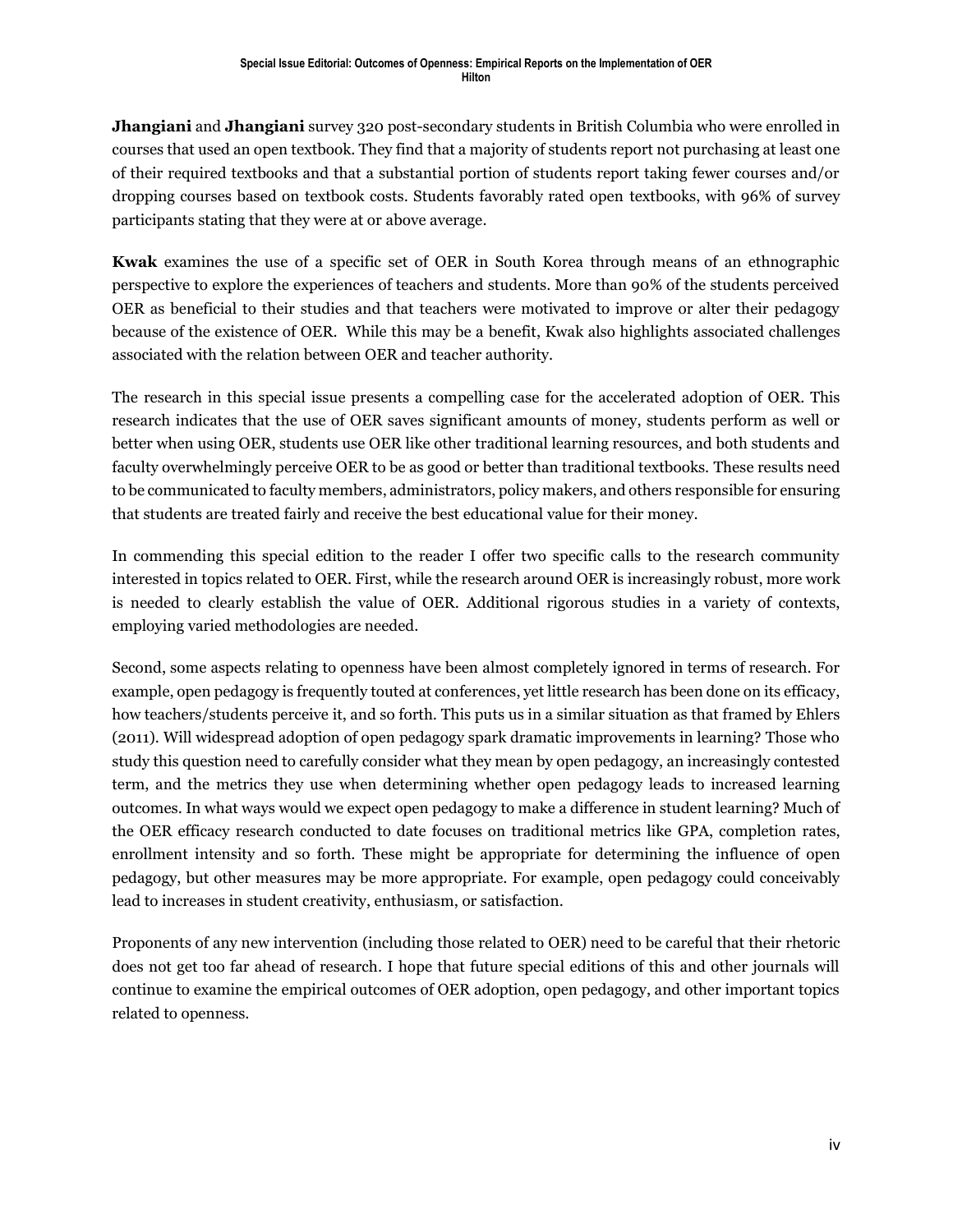**Jhangiani** and **Jhangiani** survey 320 post-secondary students in British Columbia who were enrolled in courses that used an open textbook. They find that a majority of students report not purchasing at least one of their required textbooks and that a substantial portion of students report taking fewer courses and/or dropping courses based on textbook costs. Students favorably rated open textbooks, with 96% of survey participants stating that they were at or above average.

**Kwak** examines the use of a specific set of OER in South Korea through means of an ethnographic perspective to explore the experiences of teachers and students. More than 90% of the students perceived OER as beneficial to their studies and that teachers were motivated to improve or alter their pedagogy because of the existence of OER. While this may be a benefit, Kwak also highlights associated challenges associated with the relation between OER and teacher authority.

The research in this special issue presents a compelling case for the accelerated adoption of OER. This research indicates that the use of OER saves significant amounts of money, students perform as well or better when using OER, students use OER like other traditional learning resources, and both students and faculty overwhelmingly perceive OER to be as good or better than traditional textbooks. These results need to be communicated to faculty members, administrators, policy makers, and others responsible for ensuring that students are treated fairly and receive the best educational value for their money.

In commending this special edition to the reader I offer two specific calls to the research community interested in topics related to OER. First, while the research around OER is increasingly robust, more work is needed to clearly establish the value of OER. Additional rigorous studies in a variety of contexts, employing varied methodologies are needed.

Second, some aspects relating to openness have been almost completely ignored in terms of research. For example, open pedagogy is frequently touted at conferences, yet little research has been done on its efficacy, how teachers/students perceive it, and so forth. This puts us in a similar situation as that framed by Ehlers (2011). Will widespread adoption of open pedagogy spark dramatic improvements in learning? Those who study this question need to carefully consider what they mean by open pedagogy, an increasingly contested term, and the metrics they use when determining whether open pedagogy leads to increased learning outcomes. In what ways would we expect open pedagogy to make a difference in student learning? Much of the OER efficacy research conducted to date focuses on traditional metrics like GPA, completion rates, enrollment intensity and so forth. These might be appropriate for determining the influence of open pedagogy, but other measures may be more appropriate. For example, open pedagogy could conceivably lead to increases in student creativity, enthusiasm, or satisfaction.

Proponents of any new intervention (including those related to OER) need to be careful that their rhetoric does not get too far ahead of research. I hope that future special editions of this and other journals will continue to examine the empirical outcomes of OER adoption, open pedagogy, and other important topics related to openness.